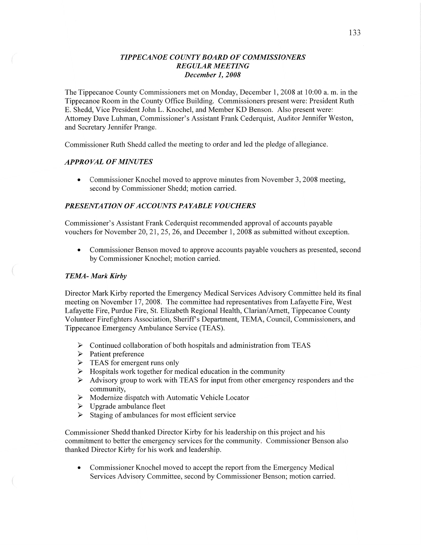## *T IPPE CANOE COUNTY BOARD* OF *COMMISSIONERS REGULAR MEETING December* 1, *2008*

The Tippecanoe County Commissioners met on Monday, December 1, 2008 at 10:00 a.m. in the Tippecanoe Room in the County Office Building. Commissioners present were: President Ruth B. Shedd, Vice President John L. Knochel, and Member KD Benson. Also present were: Attorney Dave Luhman, Commissioner's Assistant Frank Cederquist, Auditor Jennifer Weston, and Secretary Jennifer Prange.

Commissioner Ruth Shedd called the meeting to order and led the pledge of allegiance.

#### *APPROVAL* OF *MINUTES*

**0** Commissioner Knochel moved to approve minutes from November 3, 2008 meeting, second by Commissioner Shedd; motion carried.

### *PRESENTATION OFACCOUNTS PAYABLE VOUCHERS*

Commissioner's Assistant Frank Cederquist recommended approval of accounts payable vouchers for November 20, 21, 25, 26, and December 1, 2008 as submitted without exception.

*0* Commissioner Benson moved to approve accounts payable vouchers as presented, second by Commissioner Knochel; motion carried.

### *TEM4— Mark Kirby*

Director Mark Kirby reported the Emergency Medical Services Advisory Committee held its final meeting on November 17, 2008. The committee had representatives from Lafayette Fire, West Lafayette Fire, Purdue Fire, St. Elizabeth Regional Health, Clarian/Arnett, Tippecanoe County Volunteer Firefighters Association, Sheriffs Department, TEMA, Council, Commissioners, and Tippecanoe Emergency Ambulance Service (TEAS).

- $\triangleright$  Continued collaboration of both hospitals and administration from TEAS
- > Patient preference
- $\triangleright$  TEAS for emergent runs only
- $\triangleright$  Hospitals work together for medical education in the community
- $\triangleright$  Advisory group to work with TEAS for input from other emergency responders and the community, VVV VVVV
- $\triangleright$  Modernize dispatch with Automatic Vehicle Locator
- $\triangleright$  Upgrade ambulance fleet
- $\triangleright$  Staging of ambulances for most efficient service

Commissioner Shedd thanked Director Kirby for his leadership on this project and his commitment to better the emergency services for the community. Commissioner Benson also thanked Director Kirby for his work and leadership.

*0* Commissioner Knochel moved to accept the report from the Emergency Medical Services Advisory Committee, second by Commissioner Benson; motion carried.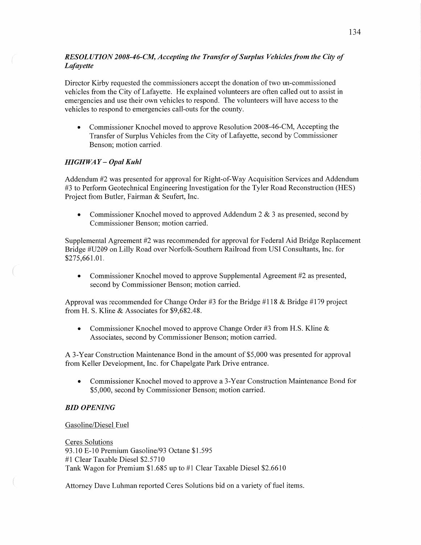# *RESOL U* TI 0N *2008-4 6-C1W, Accepting* the *Transfer* of *Surplus Vehicles from* the *City* of *Lafayette*

Director Kirby requested the commissioners accept the donation of two un-commissioned vehicles from the City of Lafayette. He explained volunteers are often called out to assist in emergencies and use their own vehicles to respond. The volunteers will have access to the vehicles to respond to emergencies call-outs for the county.

*0* Commissioner Knochel moved to approve Resolution 2008-46-CM, Accepting the Transfer of Surplus Vehicles from the City of Lafayette, second by Commissioner Benson; motion carried.

## *HIGHWAY* — *Opal Kuhl*

Addendum #2 was presented for approval for Right-of-Way Acquisition Services and Addendum #3 to Perform Geotechnical Engineering Investigation for the Tyler Road Reconstruction (HES) Project from Butler, Fairman & Seufert, Inc.

**0** Commissioner Knochel moved to approved Addendum 2 & 3 as presented, second by Commissioner Benson; motion carried.

Supplemental Agreement #2 was recommended for approval for Federal Aid Bridge Replacement Bridge #U209 on Lilly Road over Norfolk-Southern Railroad from USI Consultants, Inc. for \$275,661.01.

• Commissioner Knochel moved to approve Supplemental Agreement #2 as presented, second by Commissioner Benson; motion carried.

Approval was recommended for Change Order #3 for the Bridge #118 & Bridge #179 project from H. S. Kline & Associates for \$9,682.48.

**0** Commissioner Knochel moved to approve Change Order #3 from **H.S.** Kline *&*  Associates, second by Commissioner Benson; motion carried.

**A** 3-Year Construction Maintenance Bond in the amount of \$5,000 was presented for approval from Keller Development, **Inc.** for Chapelgate Park Drive entrance.

• Commissioner Knochel moved to approve a 3-Year Construction Maintenance Bond for \$5,000, second by Commissioner Benson; motion carried.

### BID *OPENING*

#### Gasoline/Diesel Fuel

Ceres Solutions 93.10 E-lO Premium Gasoline/93 Octane \$1.595 #1 Clear Taxable Diesel \$2.5710 **Tank** Wagon for Premium \$1.685 up to #1 Clear Taxable Diesel \$2.6610

Attorney Dave Luhman reported Ceres Solutions bid on a variety of fuel items.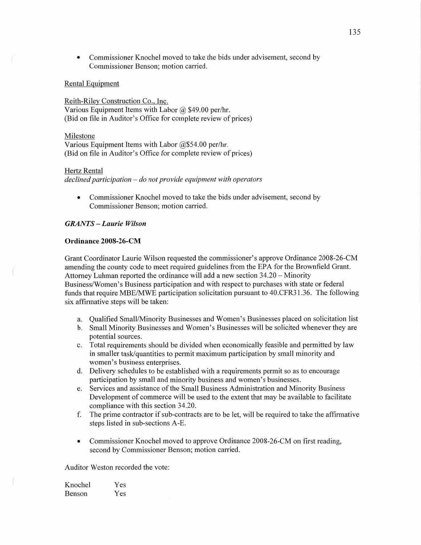**0** Commissioner Knochel moved to take the bids under advisement, second by Commissioner Benson; motion carried.

#### Rental Equipment

Reith-Rilev Construction Co., Inc. Various Equipment Items with Labor @ \$49.00 per/hr. (Bid on file in Auditor's Office for complete review of prices)

Milestone

Various Equipment Items with Labor @\$54.00 per/hr. (Bid on file in Auditor's Office for complete review of prices)

#### Hertz Rental

 $\int_{0}^{\infty}$ 

*declined participation —* do not *provide equipment with operators* 

Commissioner Knochel moved to take the bids under advisement, second by Commissioner Benson; motion carried.

## *GRANTS* **—** *Laurie Wilson*

### **Ordinance 2008—26-CM**

Grant Coordinator Laurie Wilson requested the commissioner's approve Ordinance 2008-26-CM amending the county code to meet required guidelines from the EPA for the Brownfield Grant. Attorney Luhman reported the ordinance will add **a** new section 34.20 *—* Minority Business/Women's Business participation and with respect to purchases with state or federal funds that require MBE/MWE participation solicitation pursuant to 40.CFR31.36. The following six affirmative steps will be taken:

- a. Qualified Small/Minority Businesses and Women's Businesses placed on solicitation list
- b. Small Minority Businesses and Women's Businesses will be solicited whenever they are potential sources.
- 0. Total requirements should be divided when economically feasible and permitted by law in smaller task/quantities to permit maximum participation by small minority and women's business enterprises.
- (1. Delivery schedules to be established with a requirements permit so as to encourage participation by small and minority business and women's businesses.
- e. Services and assistance of the Small Business Administration and Minority Business Development of commerce will be used to the extent that may be available to facilitate compliance with this section 34.20.
- f. The prime contractor if sub-contracts are to be let, will be required to take the affirmative steps listed in sub-sections A-E.
- *0* Commissioner Knochel **moved** to approve Ordinance 2008-26-CM on first reading, second by Commissioner Benson; motion carried.

Auditor Weston recorded the vote:

| Knochel       | Yes |
|---------------|-----|
| <b>Benson</b> | Yes |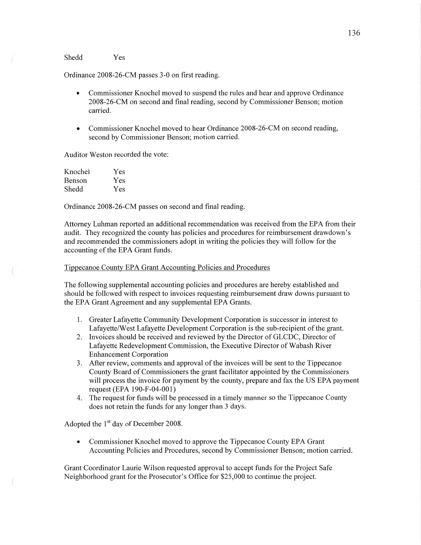#### Shedd Yes

Ordinance 2008-26-CM passes 3-0 on first reading.

- **0** Commissioner Knochel moved to suspend the rules and hear and approve Ordinance 2008-26-CM on second and final reading, second by Commissioner Benson; motion carried.
- Commissioner Knochel moved to hear Ordinance 2008-26-CM on second reading, second by Commissioner Benson; motion carried.

Auditor Weston recorded the vote:

| Knochel | Yes |
|---------|-----|
| Benson  | Yes |
| Shedd   | Yes |

Ordinance 2008-26-CM passes on second and final reading.

Attorney Luhman reported an additional recommendation was received from the EPA from their audit. They recognized the county has policies and procedures for reimbursement drawdown's and recommended the commissioners adopt in writing the policies they will follow for the accounting of the EPA Grant funds.

### Tippecanoe County EPA Grant Accounting Policies and Procedures

The following supplemental accounting policies and procedures are hereby established and should be followed with respect to invoices requesting reimbursement draw downs pursuant to the EPA Grant Agreement and any supplemental EPA Grants.

- 1. Greater Lafayette Community Development Corporation is successor in interest to Lafayette/West Lafayette Development Corporation is the sub-recipient of the grant.
- 2. Invoices should be received and reviewed by the Director of GLCDC, Director of Lafayette Redevelopment Commission, the Executive Director of Wabash River Enhancement Corporation
- 3. After review, comments and approval of the invoices will be sent to the Tippecanoe County Board of Commissioners the grant facilitator appointed by the Commissioners will process the invoice for payment by the county, prepare and fax the US EPA payment request (EPA 190-F-O4-001)
- 4. The request for fimds will be processed in a timely manner so the Tippecanoe County does not retain the funds for any longer than 3 days.

Adopted the  $1<sup>st</sup>$  day of December 2008.

**0** Commissioner Knochel moved to approve the Tippecanoe County EPA Grant Accounting Policies and Procedures, second by Commissioner Benson; motion carried.

Grant Coordinator Laurie Wilson requested approval to accept funds for the Project Safe Neighborhood grant for the Prosecutor's Office for \$25,000 to continue the project.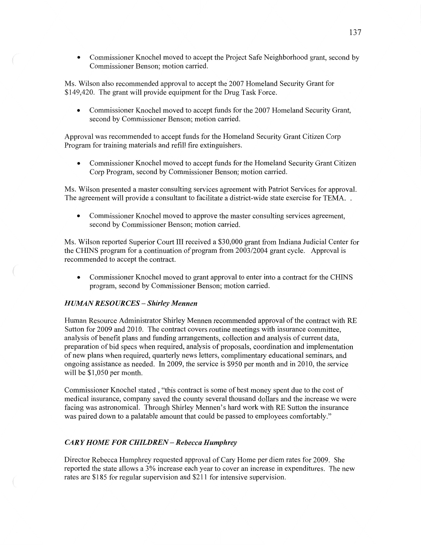**0** Commissioner Knochel moved to accept the Project Safe Neighborhood grant, second by Commissioner Benson; motion carried.

Ms. Wilson also recommended approval to accept the 2007 Homeland Security Grant for \$149,420. The grant will provide equipment for the Drug **Task** Force.

**0** Commissioner Knochel moved to accept funds for the 2007 Homeland Security Grant, second by Commissioner Benson; motion carried.

Approval was recommended to accept funds for the Homeland Security Grant Citizen Corp Program for training materials and refill fire extinguishers.

**0** Commissioner Knochel moved to accept funds for the Homeland Security Grant Citizen Corp Program, second by Commissioner Benson; motion carried.

Ms. Wilson presented a master consulting services agreement with Patriot Services for approval. The agreement will provide a consultant to facilitate a district-wide state exercise for TEMA..

**0** Commissioner Knochel moved to approve the master consulting services agreement, second by Commissioner Benson; motion carried.

Ms. Wilson reported Superior Court HI received a \$3 **0,000** grant from Indiana Judicial Center for the CHINS program for a continuation of program from 2003/2004 grant cycle. Approval is recommended to accept the contract.

**0** Commissioner Knochel moved to grant approval to enter into a contract for the CHINS program, second by Commissioner Benson; motion carried.

#### *HUJIIAN RESOURCES* **—** *Shirley Mennen*

 $\left(\begin{array}{c} \mathbf{1} \end{array}\right)$ 

Human Resource Administrator Shirley Mennen recommended approval of the contract with RE Sutton for 2009 and 2010. The contract covers routine meetings with insurance committee, analysis of benefit plans and funding arrangements, collection and analysis of current data, preparation of bid specs when required, analysis of proposals, coordination and implementation of new plans when required, quarterly news letters, complimentary educational seminars, and ongoing assistance as needed. In 2009, the service is \$950 per month and in 2010, the service will be \$1,050 per month.

Commissioner Knochel stated , "this contract is some of best money spent due to the cost of medical insurance, company saved the county several thousand dollars and the increase we were facing was astronomical. Through Shirley Mennen's hard work with RE Sutton the insurance was paired down to a palatable amount that could be passed to employees comfortably."

## *CARY HOME* FOR *CHILDREN* **—** *Rebecca Humphrey*

Director Rebecca Humphrey requested approval of Cary Home per diem rates for 2009. She reported the state allows a 3% increase each year to cover an increase in expenditures. The new rates are \$185 for regular supervision and \$211 for intensive supervision.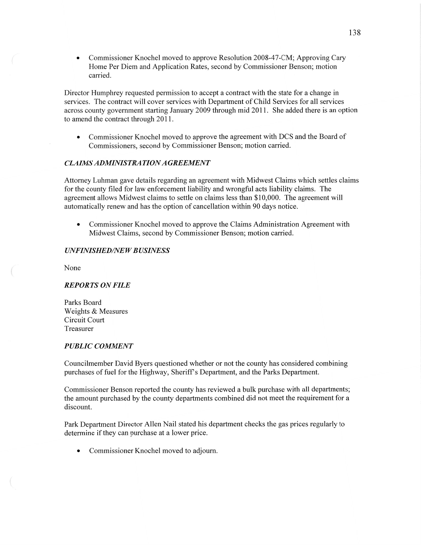**0** Commissioner Knochel moved to approve Resolution 2008—47-CM; Approving Cary Home Per Diem and Application Rates, second by Commissioner Benson; motion carried.

Director Humphrey requested permission to accept a contract with the state for a change in services. The contract will cover services with Department of Child Services for all services across county government starting January 2009 through mid 2011. She added there is an option to amend the contract through 2011.

**0** Commissioner Knochel moved to approve the agreement with DCS and the Board of Commissioners, second by Commissioner Benson; motion carried.

## *CLAIMS ADMINISTRA TION AGREEMENT*

Attorney Luhman gave details regarding an agreement with Midwest Claims which settles claims for the county filed for law enforcement liability and wrongful acts liability claims. The agreement allows Midwest claims to settle on claims less than \$10,000. The agreement will automatically renew and has the option of cancellation within 90 days notice.

**0** Commissioner Knochel moved to approve the Claims Administration Agreement with Midwest Claims, second by Commissioner Benson; motion carried.

### *UNFINISHED/NE W B USINESS*

None

#### *REPORTS* ON *FILE*

Parks Board Weights & Measures Circuit Court Treasurer

### *PUBLIC COMMENT*

Councilmember David Byers questioned whether or not the county has considered combining purchases of fuel for the Highway, Sheriff's Department, and the Parks Department.

Commissioner Benson reported the county has reviewed a bulk purchase with all departments; the amount purchased by the county departments combined did not meet the requirement for **a**  discount.

Park Department Director Allen Nail stated his department checks the gas prices regularly to determine if they can purchase at a lower price.

**0** Commissioner Knochel moved to adjourn.